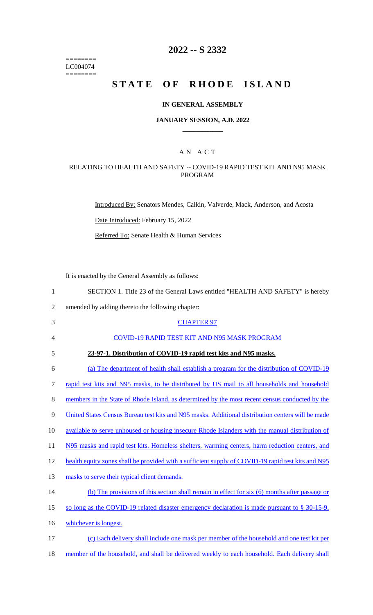======== LC004074  $=$ 

# **2022 -- S 2332**

# **STATE OF RHODE ISLAND**

#### **IN GENERAL ASSEMBLY**

#### **JANUARY SESSION, A.D. 2022 \_\_\_\_\_\_\_\_\_\_\_\_**

## A N A C T

## RELATING TO HEALTH AND SAFETY -- COVID-19 RAPID TEST KIT AND N95 MASK PROGRAM

Introduced By: Senators Mendes, Calkin, Valverde, Mack, Anderson, and Acosta

Date Introduced: February 15, 2022

Referred To: Senate Health & Human Services

It is enacted by the General Assembly as follows:

| $\mathbf{1}$   | SECTION 1. Title 23 of the General Laws entitled "HEALTH AND SAFETY" is hereby                     |
|----------------|----------------------------------------------------------------------------------------------------|
| $\overline{2}$ | amended by adding thereto the following chapter:                                                   |
| 3              | <b>CHAPTER 97</b>                                                                                  |
| 4              | COVID-19 RAPID TEST KIT AND N95 MASK PROGRAM                                                       |
| 5              | 23-97-1. Distribution of COVID-19 rapid test kits and N95 masks.                                   |
| 6              | (a) The department of health shall establish a program for the distribution of COVID-19            |
| 7              | rapid test kits and N95 masks, to be distributed by US mail to all households and household        |
| $8\,$          | members in the State of Rhode Island, as determined by the most recent census conducted by the     |
| 9              | United States Census Bureau test kits and N95 masks. Additional distribution centers will be made  |
| 10             | available to serve unhoused or housing insecure Rhode Islanders with the manual distribution of    |
| 11             | N95 masks and rapid test kits. Homeless shelters, warming centers, harm reduction centers, and     |
| 12             | health equity zones shall be provided with a sufficient supply of COVID-19 rapid test kits and N95 |
| 13             | masks to serve their typical client demands.                                                       |
| 14             | (b) The provisions of this section shall remain in effect for $six(6)$ months after passage or     |
| 15             | so long as the COVID-19 related disaster emergency declaration is made pursuant to $\S 30-15-9$ ,  |
| 16             | whichever is longest.                                                                              |
| 17             | (c) Each delivery shall include one mask per member of the household and one test kit per          |
|                |                                                                                                    |

18 member of the household, and shall be delivered weekly to each household. Each delivery shall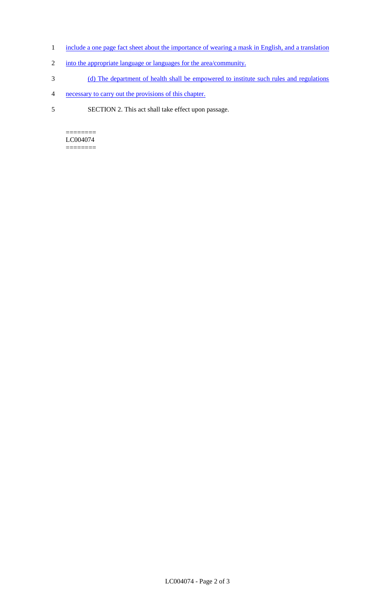- 1 include a one page fact sheet about the importance of wearing a mask in English, and a translation
- 2 into the appropriate language or languages for the area/community.
- 3 (d) The department of health shall be empowered to institute such rules and regulations
- 4 necessary to carry out the provisions of this chapter.
- 5 SECTION 2. This act shall take effect upon passage.

 $=$ LC004074 ========